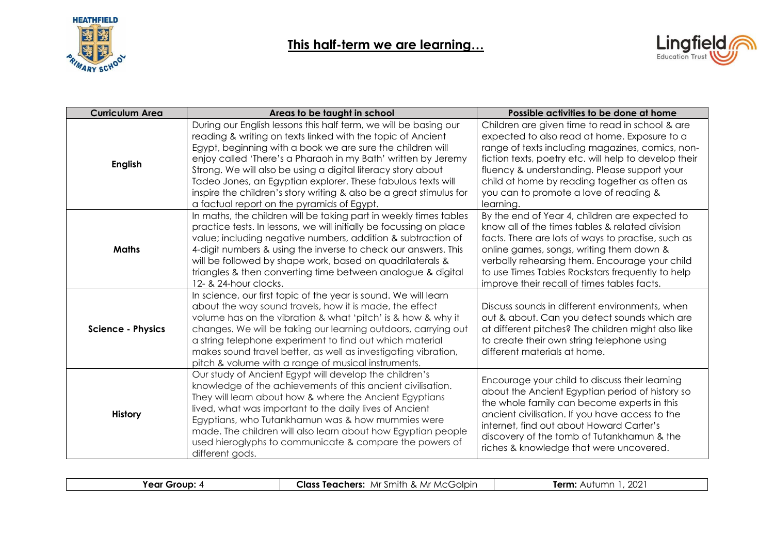



| <b>Curriculum Area</b>   | Areas to be taught in school                                                                                                                                                                                                                                                                                                                                                                                                                                                                                        | Possible activities to be done at home                                                                                                                                                                                                                                                                                                                               |
|--------------------------|---------------------------------------------------------------------------------------------------------------------------------------------------------------------------------------------------------------------------------------------------------------------------------------------------------------------------------------------------------------------------------------------------------------------------------------------------------------------------------------------------------------------|----------------------------------------------------------------------------------------------------------------------------------------------------------------------------------------------------------------------------------------------------------------------------------------------------------------------------------------------------------------------|
| <b>English</b>           | During our English lessons this half term, we will be basing our<br>reading & writing on texts linked with the topic of Ancient<br>Egypt, beginning with a book we are sure the children will<br>enjoy called 'There's a Pharaoh in my Bath' written by Jeremy<br>Strong. We will also be using a digital literacy story about<br>Tadeo Jones, an Egyptian explorer. These fabulous texts will<br>inspire the children's story writing & also be a great stimulus for<br>a factual report on the pyramids of Egypt. | Children are given time to read in school & are<br>expected to also read at home. Exposure to a<br>range of texts including magazines, comics, non-<br>fiction texts, poetry etc. will help to develop their<br>fluency & understanding. Please support your<br>child at home by reading together as often as<br>you can to promote a love of reading &<br>learning. |
| <b>Maths</b>             | In maths, the children will be taking part in weekly times tables<br>practice tests. In lessons, we will initially be focussing on place<br>value; including negative numbers, addition & subtraction of<br>4-digit numbers & using the inverse to check our answers. This<br>will be followed by shape work, based on quadrilaterals &<br>triangles & then converting time between analogue & digital<br>12- & 24-hour clocks.                                                                                     | By the end of Year 4, children are expected to<br>know all of the times tables & related division<br>facts. There are lots of ways to practise, such as<br>online games, songs, writing them down &<br>verbally rehearsing them. Encourage your child<br>to use Times Tables Rockstars frequently to help<br>improve their recall of times tables facts.             |
| <b>Science - Physics</b> | In science, our first topic of the year is sound. We will learn<br>about the way sound travels, how it is made, the effect<br>volume has on the vibration & what 'pitch' is & how & why it<br>changes. We will be taking our learning outdoors, carrying out<br>a string telephone experiment to find out which material<br>makes sound travel better, as well as investigating vibration,<br>pitch & volume with a range of musical instruments.                                                                   | Discuss sounds in different environments, when<br>out & about. Can you detect sounds which are<br>at different pitches? The children might also like<br>to create their own string telephone using<br>different materials at home.                                                                                                                                   |
| <b>History</b>           | Our study of Ancient Egypt will develop the children's<br>knowledge of the achievements of this ancient civilisation.<br>They will learn about how & where the Ancient Egyptians<br>lived, what was important to the daily lives of Ancient<br>Egyptians, who Tutankhamun was & how mummies were<br>made. The children will also learn about how Egyptian people<br>used hieroglyphs to communicate & compare the powers of<br>different gods.                                                                      | Encourage your child to discuss their learning<br>about the Ancient Egyptian period of history so<br>the whole family can become experts in this<br>ancient civilisation. If you have access to the<br>internet, find out about Howard Carter's<br>discovery of the tomb of Tutankhamun & the<br>riches & knowledge that were uncovered.                             |

| Group<br>rear 1<br>---- | $\cdots$<br>Class<br>Golpir<br>. Mr<br>Mr Smith<br>Teachers:<br>MC <sup>(</sup><br>. | ∩∩∩<br>Term:<br>Autumr<br>ZUZ |
|-------------------------|--------------------------------------------------------------------------------------|-------------------------------|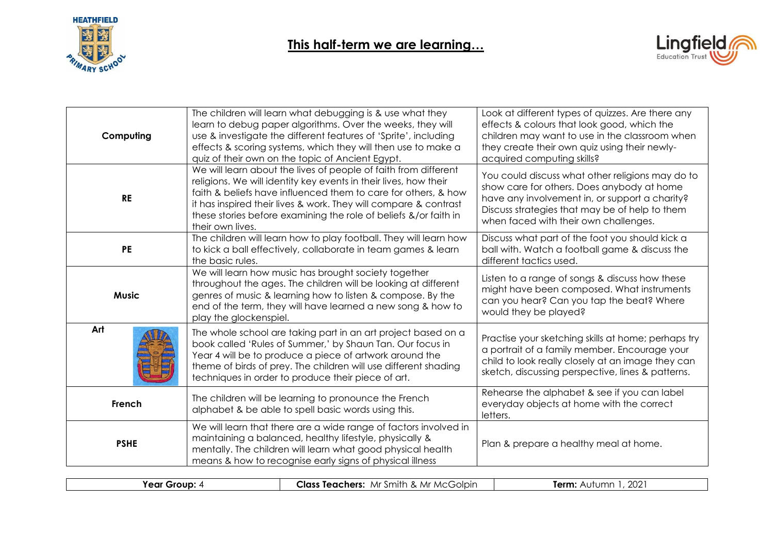



| Computing    | The children will learn what debugging is & use what they<br>learn to debug paper algorithms. Over the weeks, they will<br>use & investigate the different features of 'Sprite', including<br>effects & scoring systems, which they will then use to make a<br>quiz of their own on the topic of Ancient Egypt.                                                   | Look at different types of quizzes. Are there any<br>effects & colours that look good, which the<br>children may want to use in the classroom when<br>they create their own quiz using their newly-<br>acquired computing skills?           |
|--------------|-------------------------------------------------------------------------------------------------------------------------------------------------------------------------------------------------------------------------------------------------------------------------------------------------------------------------------------------------------------------|---------------------------------------------------------------------------------------------------------------------------------------------------------------------------------------------------------------------------------------------|
| <b>RE</b>    | We will learn about the lives of people of faith from different<br>religions. We will identity key events in their lives, how their<br>faith & beliefs have influenced them to care for others, & how<br>it has inspired their lives & work. They will compare & contrast<br>these stories before examining the role of beliefs &/or faith in<br>their own lives. | You could discuss what other religions may do to<br>show care for others. Does anybody at home<br>have any involvement in, or support a charity?<br>Discuss strategies that may be of help to them<br>when faced with their own challenges. |
| <b>PE</b>    | The children will learn how to play football. They will learn how<br>to kick a ball effectively, collaborate in team games & learn<br>the basic rules.                                                                                                                                                                                                            | Discuss what part of the foot you should kick a<br>ball with. Watch a football game & discuss the<br>different tactics used.                                                                                                                |
| <b>Music</b> | We will learn how music has brought society together<br>throughout the ages. The children will be looking at different<br>genres of music & learning how to listen & compose. By the<br>end of the term, they will have learned a new song & how to<br>play the glockenspiel.                                                                                     | Listen to a range of songs & discuss how these<br>might have been composed. What instruments<br>can you hear? Can you tap the beat? Where<br>would they be played?                                                                          |
| Art          | The whole school are taking part in an art project based on a<br>book called 'Rules of Summer,' by Shaun Tan. Our focus in<br>Year 4 will be to produce a piece of artwork around the<br>theme of birds of prey. The children will use different shading<br>techniques in order to produce their piece of art.                                                    | Practise your sketching skills at home; perhaps try<br>a portrait of a family member. Encourage your<br>child to look really closely at an image they can<br>sketch, discussing perspective, lines & patterns.                              |
| French       | The children will be learning to pronounce the French<br>alphabet & be able to spell basic words using this.                                                                                                                                                                                                                                                      | Rehearse the alphabet & see if you can label<br>everyday objects at home with the correct<br>letters.                                                                                                                                       |
| <b>PSHE</b>  | We will learn that there are a wide range of factors involved in<br>maintaining a balanced, healthy lifestyle, physically &<br>mentally. The children will learn what good physical health<br>means & how to recognise early signs of physical illness                                                                                                            | Plan & prepare a healthy meal at home.                                                                                                                                                                                                      |

| Grour<br>'ear | Class Teachers:<br>smith<br>McGolpir<br>Mr '<br>. IV'<br>. . | 202 <sup>2</sup><br>Term:<br>rumr<br>AUT |
|---------------|--------------------------------------------------------------|------------------------------------------|
|               |                                                              |                                          |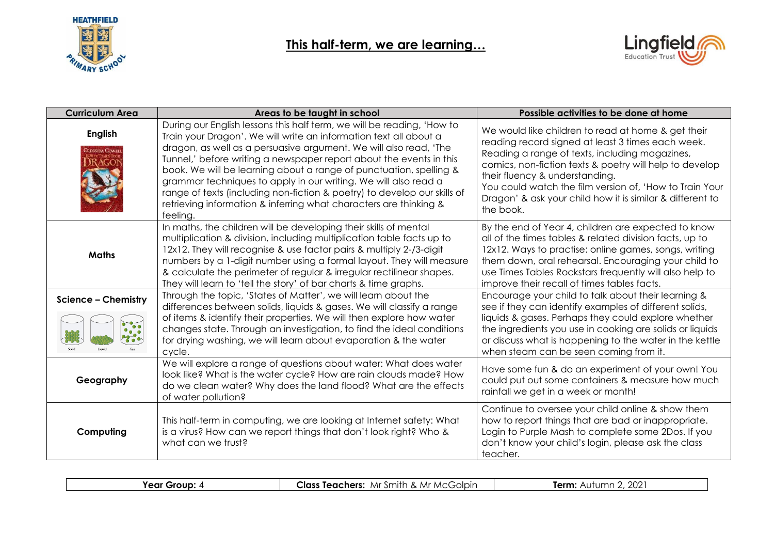



| <b>Curriculum Area</b>     | Areas to be taught in school                                                                                                                                                                                                                                                                                                                                                                                                                                                                                                                                                                  | Possible activities to be done at home                                                                                                                                                                                                                                                                                                                                                      |
|----------------------------|-----------------------------------------------------------------------------------------------------------------------------------------------------------------------------------------------------------------------------------------------------------------------------------------------------------------------------------------------------------------------------------------------------------------------------------------------------------------------------------------------------------------------------------------------------------------------------------------------|---------------------------------------------------------------------------------------------------------------------------------------------------------------------------------------------------------------------------------------------------------------------------------------------------------------------------------------------------------------------------------------------|
| <b>English</b>             | During our English lessons this half term, we will be reading, 'How to<br>Train your Dragon'. We will write an information text all about a<br>dragon, as well as a persuasive argument. We will also read, 'The<br>Tunnel,' before writing a newspaper report about the events in this<br>book. We will be learning about a range of punctuation, spelling &<br>grammar techniques to apply in our writing. We will also read a<br>range of texts (including non-fiction & poetry) to develop our skills of<br>retrieving information & inferring what characters are thinking &<br>feeling. | We would like children to read at home & get their<br>reading record signed at least 3 times each week.<br>Reading a range of texts, including magazines,<br>comics, non-fiction texts & poetry will help to develop<br>their fluency & understanding.<br>You could watch the film version of, 'How to Train Your<br>Dragon' & ask your child how it is similar & different to<br>the book. |
| <b>Maths</b>               | In maths, the children will be developing their skills of mental<br>multiplication & division, including multiplication table facts up to<br>12x12. They will recognise & use factor pairs & multiply 2-/3-digit<br>numbers by a 1-digit number using a formal layout. They will measure<br>& calculate the perimeter of regular & irregular rectilinear shapes.<br>They will learn to 'tell the story' of bar charts & time graphs.                                                                                                                                                          | By the end of Year 4, children are expected to know<br>all of the times tables & related division facts, up to<br>12x12. Ways to practise: online games, songs, writing<br>them down, oral rehearsal. Encouraging your child to<br>use Times Tables Rockstars frequently will also help to<br>improve their recall of times tables facts.                                                   |
| <b>Science - Chemistry</b> | Through the topic, 'States of Matter', we will learn about the<br>differences between solids, liquids & gases. We will classify a range                                                                                                                                                                                                                                                                                                                                                                                                                                                       | Encourage your child to talk about their learning &<br>see if they can identify examples of different solids,                                                                                                                                                                                                                                                                               |
| $\overline{\cdots}$        | of items & identify their properties. We will then explore how water<br>changes state. Through an investigation, to find the ideal conditions<br>for drying washing, we will learn about evaporation & the water<br>cycle.                                                                                                                                                                                                                                                                                                                                                                    | liquids & gases. Perhaps they could explore whether<br>the ingredients you use in cooking are solids or liquids<br>or discuss what is happening to the water in the kettle<br>when steam can be seen coming from it.                                                                                                                                                                        |
| Geography                  | We will explore a range of questions about water: What does water<br>look like? What is the water cycle? How are rain clouds made? How<br>do we clean water? Why does the land flood? What are the effects<br>of water pollution?                                                                                                                                                                                                                                                                                                                                                             | Have some fun & do an experiment of your own! You<br>could put out some containers & measure how much<br>rainfall we get in a week or month!                                                                                                                                                                                                                                                |
| Computing                  | This half-term in computing, we are looking at Internet safety: What<br>is a virus? How can we report things that don't look right? Who &<br>what can we trust?                                                                                                                                                                                                                                                                                                                                                                                                                               | Continue to oversee your child online & show them<br>how to report things that are bad or inappropriate.<br>Login to Purple Mash to complete some 2Dos. If you<br>don't know your child's login, please ask the class<br>teacher.                                                                                                                                                           |

| Year Group: | ∴Smith<br>Class<br>Teachers:<br>MC <sup>C</sup><br><b>Mr</b><br>CGOIDIN.<br>Mr<br>$\alpha$ | 202<br>Term:<br>Autumr |
|-------------|--------------------------------------------------------------------------------------------|------------------------|